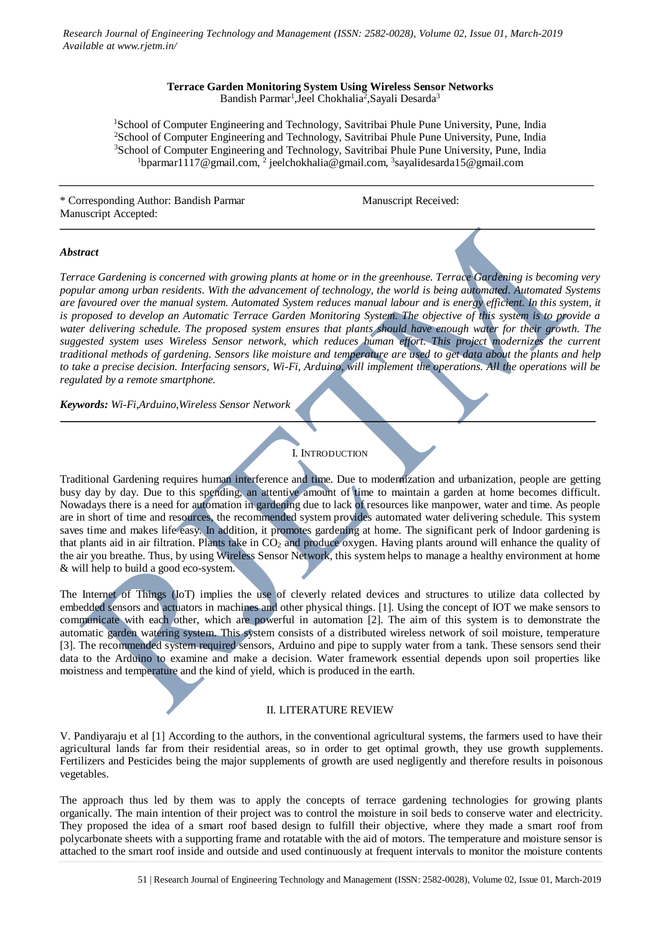*Research Journal of Engineering Technology and Management (ISSN: 2582-0028), Volume 02, Issue 01, March-2019 Available at www.rjetm.in/*

## **Terrace Garden Monitoring System Using Wireless Sensor Networks** Bandish Parmar<sup>1</sup>, Jeel Chokhalia<sup>2</sup>, Sayali Desarda<sup>3</sup>

<sup>1</sup>School of Computer Engineering and Technology, Savitribai Phule Pune University, Pune, India <sup>2</sup>School of Computer Engineering and Technology, Savitribai Phule Pune University, Pune, India <sup>3</sup>School of Computer Engineering and Technology, Savitribai Phule Pune University, Pune, India  $1$ bparmar1117@gmail.com,  $2$  jeelchokhalia@gmail.com,  $3$ sayalidesarda15@gmail.com

\* Corresponding Author: Bandish Parmar Manuscript Received: Manuscript Accepted:

## *Abstract*

*Terrace Gardening is concerned with growing plants at home or in the greenhouse. Terrace Gardening is becoming very popular among urban residents. With the advancement of technology, the world is being automated. Automated Systems are favoured over the manual system. Automated System reduces manual labour and is energy efficient. In this system, it is proposed to develop an Automatic Terrace Garden Monitoring System. The objective of this system is to provide a water delivering schedule. The proposed system ensures that plants should have enough water for their growth. The suggested system uses Wireless Sensor network, which reduces human effort. This project modernizes the current traditional methods of gardening. Sensors like moisture and temperature are used to get data about the plants and help to take a precise decision. Interfacing sensors, Wi-Fi, Arduino, will implement the operations. All the operations will be regulated by a remote smartphone.*

*Keywords: Wi-Fi,Arduino,Wireless Sensor Network*

## I. INTRODUCTION

Traditional Gardening requires human interference and time. Due to modernization and urbanization, people are getting busy day by day. Due to this spending, an attentive amount of time to maintain a garden at home becomes difficult. Nowadays there is a need for automation in gardening due to lack of resources like manpower, water and time. As people are in short of time and resources, the recommended system provides automated water delivering schedule. This system saves time and makes life easy. In addition, it promotes gardening at home. The significant perk of Indoor gardening is that plants aid in air filtration. Plants take in CO<sub>2</sub> and produce oxygen. Having plants around will enhance the quality of the air you breathe. Thus, by using Wireless Sensor Network, this system helps to manage a healthy environment at home & will help to build a good eco-system.

The Internet of Things (IoT) implies the use of cleverly related devices and structures to utilize data collected by embedded sensors and actuators in machines and other physical things. [1]. Using the concept of IOT we make sensors to communicate with each other, which are powerful in automation [2]. The aim of this system is to demonstrate the automatic garden watering system. This system consists of a distributed wireless network of soil moisture, temperature [3]. The recommended system required sensors, Arduino and pipe to supply water from a tank. These sensors send their data to the Arduino to examine and make a decision. Water framework essential depends upon soil properties like moistness and temperature and the kind of yield, which is produced in the earth.

# II. LITERATURE REVIEW

V. Pandiyaraju et al [1] According to the authors, in the conventional agricultural systems, the farmers used to have their agricultural lands far from their residential areas, so in order to get optimal growth, they use growth supplements. Fertilizers and Pesticides being the major supplements of growth are used negligently and therefore results in poisonous vegetables.

The approach thus led by them was to apply the concepts of terrace gardening technologies for growing plants organically. The main intention of their project was to control the moisture in soil beds to conserve water and electricity. They proposed the idea of a smart roof based design to fulfill their objective, where they made a smart roof from polycarbonate sheets with a supporting frame and rotatable with the aid of motors. The temperature and moisture sensor is attached to the smart roof inside and outside and used continuously at frequent intervals to monitor the moisture contents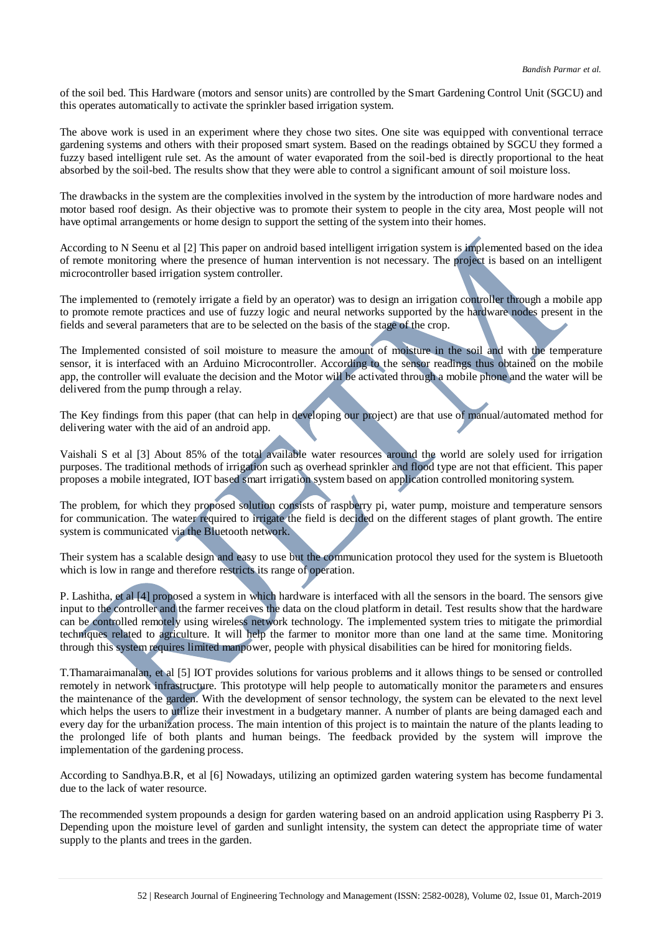of the soil bed. This Hardware (motors and sensor units) are controlled by the Smart Gardening Control Unit (SGCU) and this operates automatically to activate the sprinkler based irrigation system.

The above work is used in an experiment where they chose two sites. One site was equipped with conventional terrace gardening systems and others with their proposed smart system. Based on the readings obtained by SGCU they formed a fuzzy based intelligent rule set. As the amount of water evaporated from the soil-bed is directly proportional to the heat absorbed by the soil-bed. The results show that they were able to control a significant amount of soil moisture loss.

The drawbacks in the system are the complexities involved in the system by the introduction of more hardware nodes and motor based roof design. As their objective was to promote their system to people in the city area, Most people will not have optimal arrangements or home design to support the setting of the system into their homes.

According to N Seenu et al [2] This paper on android based intelligent irrigation system is implemented based on the idea of remote monitoring where the presence of human intervention is not necessary. The project is based on an intelligent microcontroller based irrigation system controller.

The implemented to (remotely irrigate a field by an operator) was to design an irrigation controller through a mobile app to promote remote practices and use of fuzzy logic and neural networks supported by the hardware nodes present in the fields and several parameters that are to be selected on the basis of the stage of the crop.

The Implemented consisted of soil moisture to measure the amount of moisture in the soil and with the temperature sensor, it is interfaced with an Arduino Microcontroller. According to the sensor readings thus obtained on the mobile app, the controller will evaluate the decision and the Motor will be activated through a mobile phone and the water will be delivered from the pump through a relay.

The Key findings from this paper (that can help in developing our project) are that use of manual/automated method for delivering water with the aid of an android app.

Vaishali S et al [3] About 85% of the total available water resources around the world are solely used for irrigation purposes. The traditional methods of irrigation such as overhead sprinkler and flood type are not that efficient. This paper proposes a mobile integrated, IOT based smart irrigation system based on application controlled monitoring system.

The problem, for which they proposed solution consists of raspberry pi, water pump, moisture and temperature sensors for communication. The water required to irrigate the field is decided on the different stages of plant growth. The entire system is communicated via the Bluetooth network.

Their system has a scalable design and easy to use but the communication protocol they used for the system is Bluetooth which is low in range and therefore restricts its range of operation.

P. Lashitha, et al [4] proposed a system in which hardware is interfaced with all the sensors in the board. The sensors give input to the controller and the farmer receives the data on the cloud platform in detail. Test results show that the hardware can be controlled remotely using wireless network technology. The implemented system tries to mitigate the primordial techniques related to agriculture. It will help the farmer to monitor more than one land at the same time. Monitoring through this system requires limited manpower, people with physical disabilities can be hired for monitoring fields.

T.Thamaraimanalan, et al [5] IOT provides solutions for various problems and it allows things to be sensed or controlled remotely in network infrastructure. This prototype will help people to automatically monitor the parameters and ensures the maintenance of the garden. With the development of sensor technology, the system can be elevated to the next level which helps the users to utilize their investment in a budgetary manner. A number of plants are being damaged each and every day for the urbanization process. The main intention of this project is to maintain the nature of the plants leading to the prolonged life of both plants and human beings. The feedback provided by the system will improve the implementation of the gardening process.

According to Sandhya.B.R, et al [6] Nowadays, utilizing an optimized garden watering system has become fundamental due to the lack of water resource.

The recommended system propounds a design for garden watering based on an android application using Raspberry Pi 3. Depending upon the moisture level of garden and sunlight intensity, the system can detect the appropriate time of water supply to the plants and trees in the garden.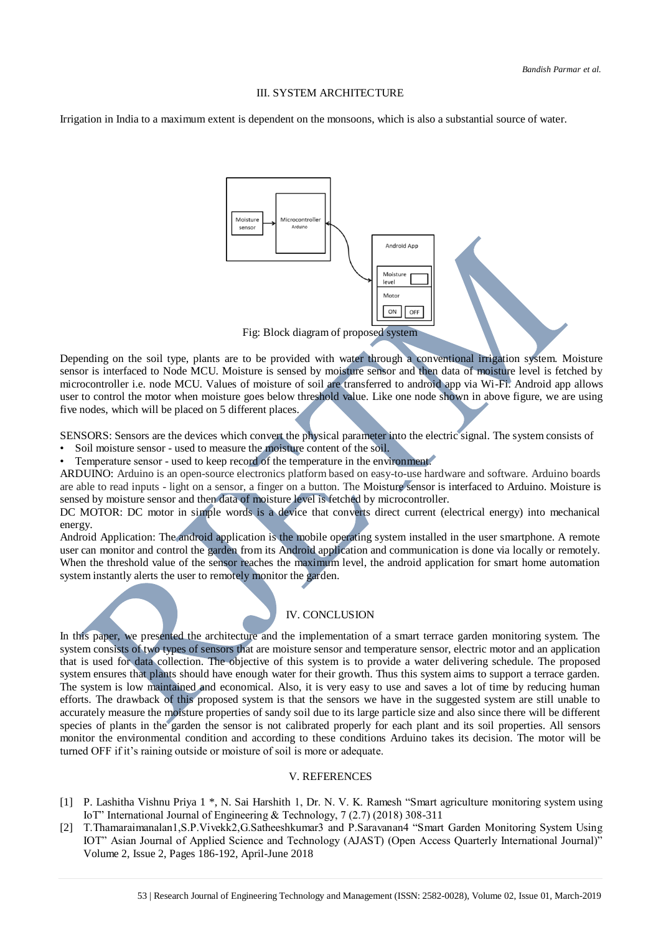#### III. SYSTEM ARCHITECTURE

Irrigation in India to a maximum extent is dependent on the monsoons, which is also a substantial source of water.



Depending on the soil type, plants are to be provided with water through a conventional irrigation system. Moisture sensor is interfaced to Node MCU. Moisture is sensed by moisture sensor and then data of moisture level is fetched by microcontroller i.e. node MCU. Values of moisture of soil are transferred to android app via Wi-Fi. Android app allows user to control the motor when moisture goes below threshold value. Like one node shown in above figure, we are using five nodes, which will be placed on 5 different places.

SENSORS: Sensors are the devices which convert the physical parameter into the electric signal. The system consists of

- Soil moisture sensor used to measure the moisture content of the soil.
- Temperature sensor used to keep record of the temperature in the environment.

ARDUINO: Arduino is an open-source electronics platform based on easy-to-use hardware and software. Arduino boards are able to read inputs - light on a sensor, a finger on a button. The Moisture sensor is interfaced to Arduino. Moisture is sensed by moisture sensor and then data of moisture level is fetched by microcontroller.

DC MOTOR: DC motor in simple words is a device that converts direct current (electrical energy) into mechanical energy.

Android Application: The android application is the mobile operating system installed in the user smartphone. A remote user can monitor and control the garden from its Android application and communication is done via locally or remotely. When the threshold value of the sensor reaches the maximum level, the android application for smart home automation system instantly alerts the user to remotely monitor the garden.



In this paper, we presented the architecture and the implementation of a smart terrace garden monitoring system. The system consists of two types of sensors that are moisture sensor and temperature sensor, electric motor and an application that is used for data collection. The objective of this system is to provide a water delivering schedule. The proposed system ensures that plants should have enough water for their growth. Thus this system aims to support a terrace garden. The system is low maintained and economical. Also, it is very easy to use and saves a lot of time by reducing human efforts. The drawback of this proposed system is that the sensors we have in the suggested system are still unable to accurately measure the moisture properties of sandy soil due to its large particle size and also since there will be different species of plants in the garden the sensor is not calibrated properly for each plant and its soil properties. All sensors monitor the environmental condition and according to these conditions Arduino takes its decision. The motor will be turned OFF if it's raining outside or moisture of soil is more or adequate.

### V. REFERENCES

- [1] P. Lashitha Vishnu Priya 1 \*, N. Sai Harshith 1, Dr. N. V. K. Ramesh "Smart agriculture monitoring system using IoT" International Journal of Engineering & Technology, 7 (2.7) (2018) 308-311
- [2] T.Thamaraimanalan1,S.P.Vivekk2,G.Satheeshkumar3 and P.Saravanan4 "Smart Garden Monitoring System Using IOT" Asian Journal of Applied Science and Technology (AJAST) (Open Access Quarterly International Journal)" Volume 2, Issue 2, Pages 186-192, April-June 2018